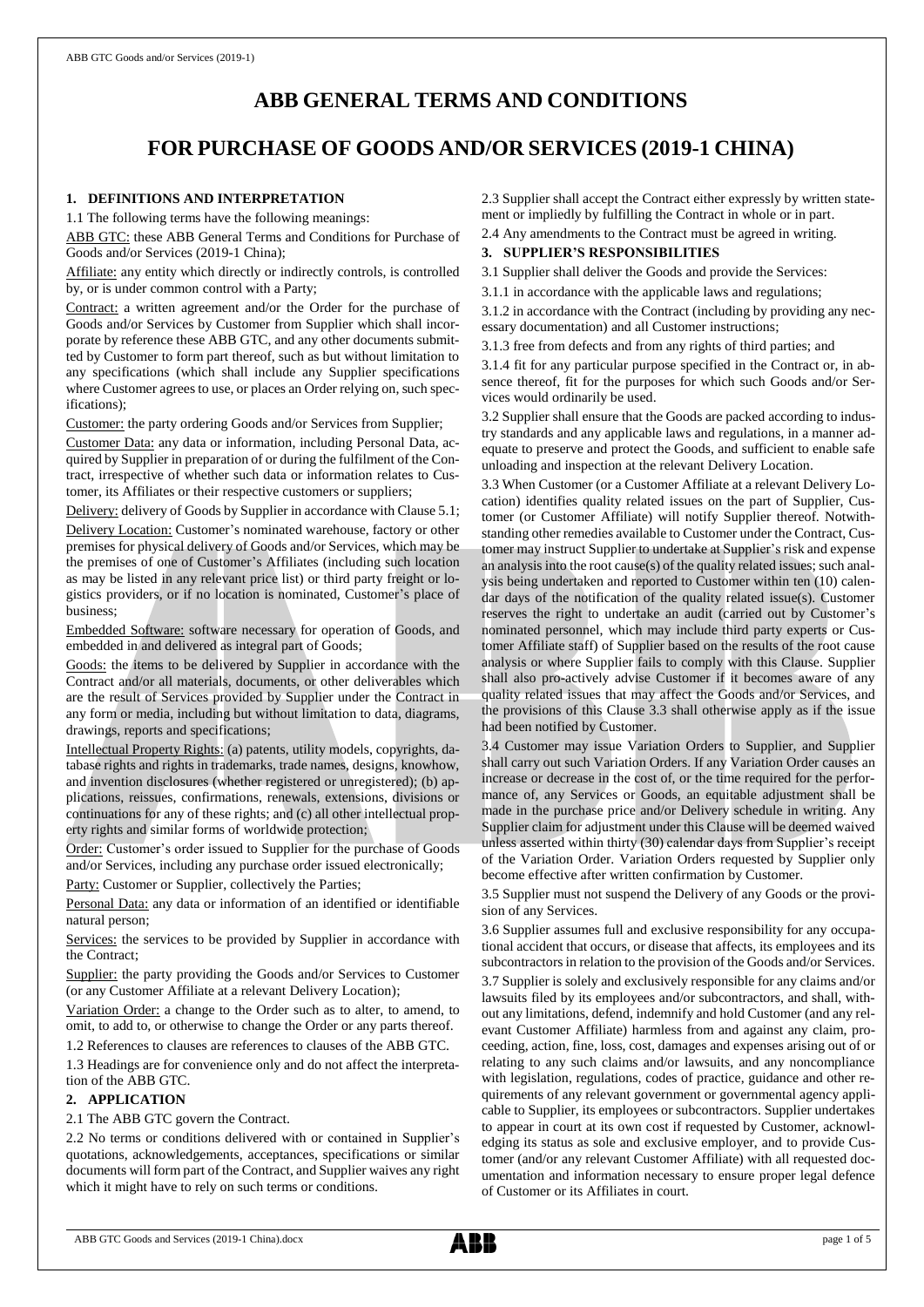# **ABB GENERAL TERMS AND CONDITIONS**

# **FOR PURCHASE OF GOODS AND/OR SERVICES (2019-1 CHINA)**

# **1. DEFINITIONS AND INTERPRETATION**

1.1 The following terms have the following meanings:

ABB GTC: these ABB General Terms and Conditions for Purchase of Goods and/or Services (2019-1 China);

Affiliate: any entity which directly or indirectly controls, is controlled by, or is under common control with a Party;

Contract: a written agreement and/or the Order for the purchase of Goods and/or Services by Customer from Supplier which shall incorporate by reference these ABB GTC, and any other documents submitted by Customer to form part thereof, such as but without limitation to any specifications (which shall include any Supplier specifications where Customer agrees to use, or places an Order relying on, such specifications);

Customer: the party ordering Goods and/or Services from Supplier;

Customer Data: any data or information, including Personal Data, acquired by Supplier in preparation of or during the fulfilment of the Contract, irrespective of whether such data or information relates to Customer, its Affiliates or their respective customers or suppliers;

Delivery: delivery of Goods by Supplier in accordance with Clause 5.1; Delivery Location: Customer's nominated warehouse, factory or other premises for physical delivery of Goods and/or Services, which may be the premises of one of Customer's Affiliates (including such location as may be listed in any relevant price list) or third party freight or logistics providers, or if no location is nominated, Customer's place of business;

Embedded Software: software necessary for operation of Goods, and embedded in and delivered as integral part of Goods;

Goods: the items to be delivered by Supplier in accordance with the Contract and/or all materials, documents, or other deliverables which are the result of Services provided by Supplier under the Contract in any form or media, including but without limitation to data, diagrams, drawings, reports and specifications;

Intellectual Property Rights: (a) patents, utility models, copyrights, database rights and rights in trademarks, trade names, designs, knowhow, and invention disclosures (whether registered or unregistered); (b) applications, reissues, confirmations, renewals, extensions, divisions or continuations for any of these rights; and (c) all other intellectual property rights and similar forms of worldwide protection;

Order: Customer's order issued to Supplier for the purchase of Goods and/or Services, including any purchase order issued electronically;

Party: Customer or Supplier, collectively the Parties;

Personal Data: any data or information of an identified or identifiable natural person;

Services: the services to be provided by Supplier in accordance with the Contract;

Supplier: the party providing the Goods and/or Services to Customer (or any Customer Affiliate at a relevant Delivery Location);

Variation Order: a change to the Order such as to alter, to amend, to omit, to add to, or otherwise to change the Order or any parts thereof.

1.2 References to clauses are references to clauses of the ABB GTC.

1.3 Headings are for convenience only and do not affect the interpretation of the ABB GTC.

# **2. APPLICATION**

#### 2.1 The ABB GTC govern the Contract.

2.2 No terms or conditions delivered with or contained in Supplier's quotations, acknowledgements, acceptances, specifications or similar documents will form part of the Contract, and Supplier waives any right which it might have to rely on such terms or conditions.

2.3 Supplier shall accept the Contract either expressly by written statement or impliedly by fulfilling the Contract in whole or in part.

2.4 Any amendments to the Contract must be agreed in writing.

## **3. SUPPLIER'S RESPONSIBILITIES**

3.1 Supplier shall deliver the Goods and provide the Services:

3.1.1 in accordance with the applicable laws and regulations;

3.1.2 in accordance with the Contract (including by providing any necessary documentation) and all Customer instructions;

3.1.3 free from defects and from any rights of third parties; and

3.1.4 fit for any particular purpose specified in the Contract or, in absence thereof, fit for the purposes for which such Goods and/or Services would ordinarily be used.

3.2 Supplier shall ensure that the Goods are packed according to industry standards and any applicable laws and regulations, in a manner adequate to preserve and protect the Goods, and sufficient to enable safe unloading and inspection at the relevant Delivery Location.

3.3 When Customer (or a Customer Affiliate at a relevant Delivery Location) identifies quality related issues on the part of Supplier, Customer (or Customer Affiliate) will notify Supplier thereof. Notwithstanding other remedies available to Customer under the Contract, Customer may instruct Supplier to undertake at Supplier's risk and expense an analysis into the root cause(s) of the quality related issues; such analysis being undertaken and reported to Customer within ten (10) calendar days of the notification of the quality related issue(s). Customer reserves the right to undertake an audit (carried out by Customer's nominated personnel, which may include third party experts or Customer Affiliate staff) of Supplier based on the results of the root cause analysis or where Supplier fails to comply with this Clause. Supplier shall also pro-actively advise Customer if it becomes aware of any quality related issues that may affect the Goods and/or Services, and the provisions of this Clause 3.3 shall otherwise apply as if the issue had been notified by Customer.

3.4 Customer may issue Variation Orders to Supplier, and Supplier shall carry out such Variation Orders. If any Variation Order causes an increase or decrease in the cost of, or the time required for the performance of, any Services or Goods, an equitable adjustment shall be made in the purchase price and/or Delivery schedule in writing. Any Supplier claim for adjustment under this Clause will be deemed waived unless asserted within thirty (30) calendar days from Supplier's receipt of the Variation Order. Variation Orders requested by Supplier only become effective after written confirmation by Customer.

3.5 Supplier must not suspend the Delivery of any Goods or the provision of any Services.

3.6 Supplier assumes full and exclusive responsibility for any occupational accident that occurs, or disease that affects, its employees and its subcontractors in relation to the provision of the Goods and/or Services. 3.7 Supplier is solely and exclusively responsible for any claims and/or lawsuits filed by its employees and/or subcontractors, and shall, without any limitations, defend, indemnify and hold Customer (and any relevant Customer Affiliate) harmless from and against any claim, proceeding, action, fine, loss, cost, damages and expenses arising out of or relating to any such claims and/or lawsuits, and any noncompliance with legislation, regulations, codes of practice, guidance and other requirements of any relevant government or governmental agency applicable to Supplier, its employees or subcontractors. Supplier undertakes to appear in court at its own cost if requested by Customer, acknowledging its status as sole and exclusive employer, and to provide Customer (and/or any relevant Customer Affiliate) with all requested documentation and information necessary to ensure proper legal defence of Customer or its Affiliates in court.

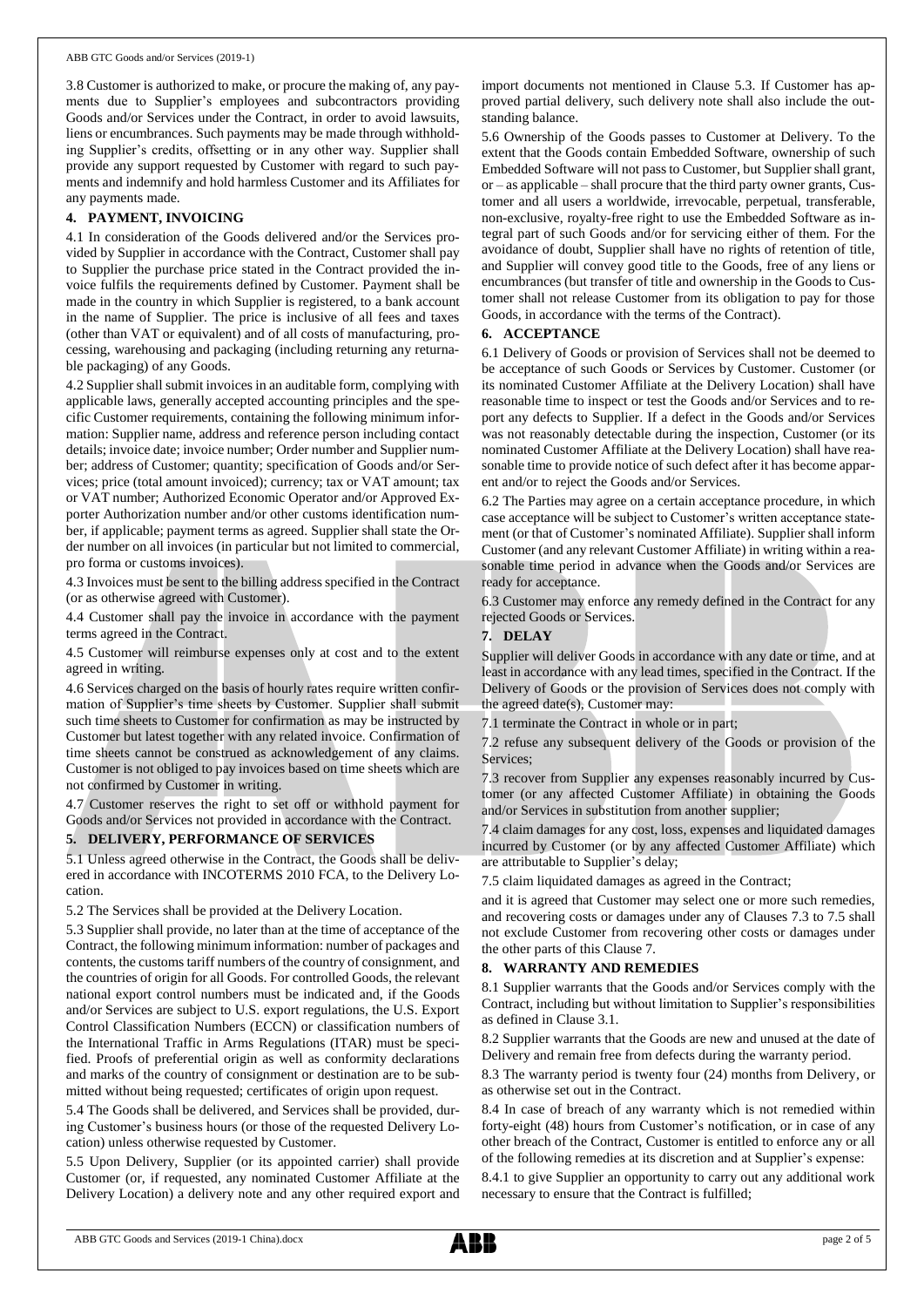3.8 Customer is authorized to make, or procure the making of, any payments due to Supplier's employees and subcontractors providing Goods and/or Services under the Contract, in order to avoid lawsuits, liens or encumbrances. Such payments may be made through withholding Supplier's credits, offsetting or in any other way. Supplier shall provide any support requested by Customer with regard to such payments and indemnify and hold harmless Customer and its Affiliates for any payments made.

## **4. PAYMENT, INVOICING**

4.1 In consideration of the Goods delivered and/or the Services provided by Supplier in accordance with the Contract, Customer shall pay to Supplier the purchase price stated in the Contract provided the invoice fulfils the requirements defined by Customer. Payment shall be made in the country in which Supplier is registered, to a bank account in the name of Supplier. The price is inclusive of all fees and taxes (other than VAT or equivalent) and of all costs of manufacturing, processing, warehousing and packaging (including returning any returnable packaging) of any Goods.

4.2 Supplier shall submit invoices in an auditable form, complying with applicable laws, generally accepted accounting principles and the specific Customer requirements, containing the following minimum information: Supplier name, address and reference person including contact details; invoice date; invoice number; Order number and Supplier number; address of Customer; quantity; specification of Goods and/or Services; price (total amount invoiced); currency; tax or VAT amount; tax or VAT number; Authorized Economic Operator and/or Approved Exporter Authorization number and/or other customs identification number, if applicable; payment terms as agreed. Supplier shall state the Order number on all invoices (in particular but not limited to commercial, pro forma or customs invoices).

4.3 Invoices must be sent to the billing address specified in the Contract (or as otherwise agreed with Customer).

4.4 Customer shall pay the invoice in accordance with the payment terms agreed in the Contract.

4.5 Customer will reimburse expenses only at cost and to the extent agreed in writing.

4.6 Services charged on the basis of hourly rates require written confirmation of Supplier's time sheets by Customer. Supplier shall submit such time sheets to Customer for confirmation as may be instructed by Customer but latest together with any related invoice. Confirmation of time sheets cannot be construed as acknowledgement of any claims. Customer is not obliged to pay invoices based on time sheets which are not confirmed by Customer in writing.

4.7 Customer reserves the right to set off or withhold payment for Goods and/or Services not provided in accordance with the Contract.

## **5. DELIVERY, PERFORMANCE OF SERVICES**

5.1 Unless agreed otherwise in the Contract, the Goods shall be delivered in accordance with INCOTERMS 2010 FCA, to the Delivery Location.

5.2 The Services shall be provided at the Delivery Location.

5.3 Supplier shall provide, no later than at the time of acceptance of the Contract, the following minimum information: number of packages and contents, the customs tariff numbers of the country of consignment, and the countries of origin for all Goods. For controlled Goods, the relevant national export control numbers must be indicated and, if the Goods and/or Services are subject to U.S. export regulations, the U.S. Export Control Classification Numbers (ECCN) or classification numbers of the International Traffic in Arms Regulations (ITAR) must be specified. Proofs of preferential origin as well as conformity declarations and marks of the country of consignment or destination are to be submitted without being requested; certificates of origin upon request.

5.4 The Goods shall be delivered, and Services shall be provided, during Customer's business hours (or those of the requested Delivery Location) unless otherwise requested by Customer.

5.5 Upon Delivery, Supplier (or its appointed carrier) shall provide Customer (or, if requested, any nominated Customer Affiliate at the Delivery Location) a delivery note and any other required export and import documents not mentioned in Clause 5.3. If Customer has approved partial delivery, such delivery note shall also include the outstanding balance.

5.6 Ownership of the Goods passes to Customer at Delivery. To the extent that the Goods contain Embedded Software, ownership of such Embedded Software will not passto Customer, but Supplier shall grant, or – as applicable – shall procure that the third party owner grants, Customer and all users a worldwide, irrevocable, perpetual, transferable, non-exclusive, royalty-free right to use the Embedded Software as integral part of such Goods and/or for servicing either of them. For the avoidance of doubt, Supplier shall have no rights of retention of title, and Supplier will convey good title to the Goods, free of any liens or encumbrances (but transfer of title and ownership in the Goods to Customer shall not release Customer from its obligation to pay for those Goods, in accordance with the terms of the Contract).

## **6. ACCEPTANCE**

6.1 Delivery of Goods or provision of Services shall not be deemed to be acceptance of such Goods or Services by Customer. Customer (or its nominated Customer Affiliate at the Delivery Location) shall have reasonable time to inspect or test the Goods and/or Services and to report any defects to Supplier. If a defect in the Goods and/or Services was not reasonably detectable during the inspection, Customer (or its nominated Customer Affiliate at the Delivery Location) shall have reasonable time to provide notice of such defect after it has become apparent and/or to reject the Goods and/or Services.

6.2 The Parties may agree on a certain acceptance procedure, in which case acceptance will be subject to Customer's written acceptance statement (or that of Customer's nominated Affiliate). Supplier shall inform Customer (and any relevant Customer Affiliate) in writing within a reasonable time period in advance when the Goods and/or Services are ready for acceptance.

6.3 Customer may enforce any remedy defined in the Contract for any rejected Goods or Services.

### **7. DELAY**

Supplier will deliver Goods in accordance with any date or time, and at least in accordance with any lead times, specified in the Contract. If the Delivery of Goods or the provision of Services does not comply with the agreed date(s), Customer may:

7.1 terminate the Contract in whole or in part;

7.2 refuse any subsequent delivery of the Goods or provision of the Services;

7.3 recover from Supplier any expenses reasonably incurred by Customer (or any affected Customer Affiliate) in obtaining the Goods and/or Services in substitution from another supplier;

7.4 claim damages for any cost, loss, expenses and liquidated damages incurred by Customer (or by any affected Customer Affiliate) which are attributable to Supplier's delay;

7.5 claim liquidated damages as agreed in the Contract;

and it is agreed that Customer may select one or more such remedies, and recovering costs or damages under any of Clauses 7.3 to 7.5 shall not exclude Customer from recovering other costs or damages under the other parts of this Clause 7.

## **8. WARRANTY AND REMEDIES**

8.1 Supplier warrants that the Goods and/or Services comply with the Contract, including but without limitation to Supplier's responsibilities as defined in Clause 3.1.

8.2 Supplier warrants that the Goods are new and unused at the date of Delivery and remain free from defects during the warranty period.

8.3 The warranty period is twenty four (24) months from Delivery, or as otherwise set out in the Contract.

8.4 In case of breach of any warranty which is not remedied within forty-eight (48) hours from Customer's notification, or in case of any other breach of the Contract, Customer is entitled to enforce any or all of the following remedies at its discretion and at Supplier's expense:

8.4.1 to give Supplier an opportunity to carry out any additional work necessary to ensure that the Contract is fulfilled;

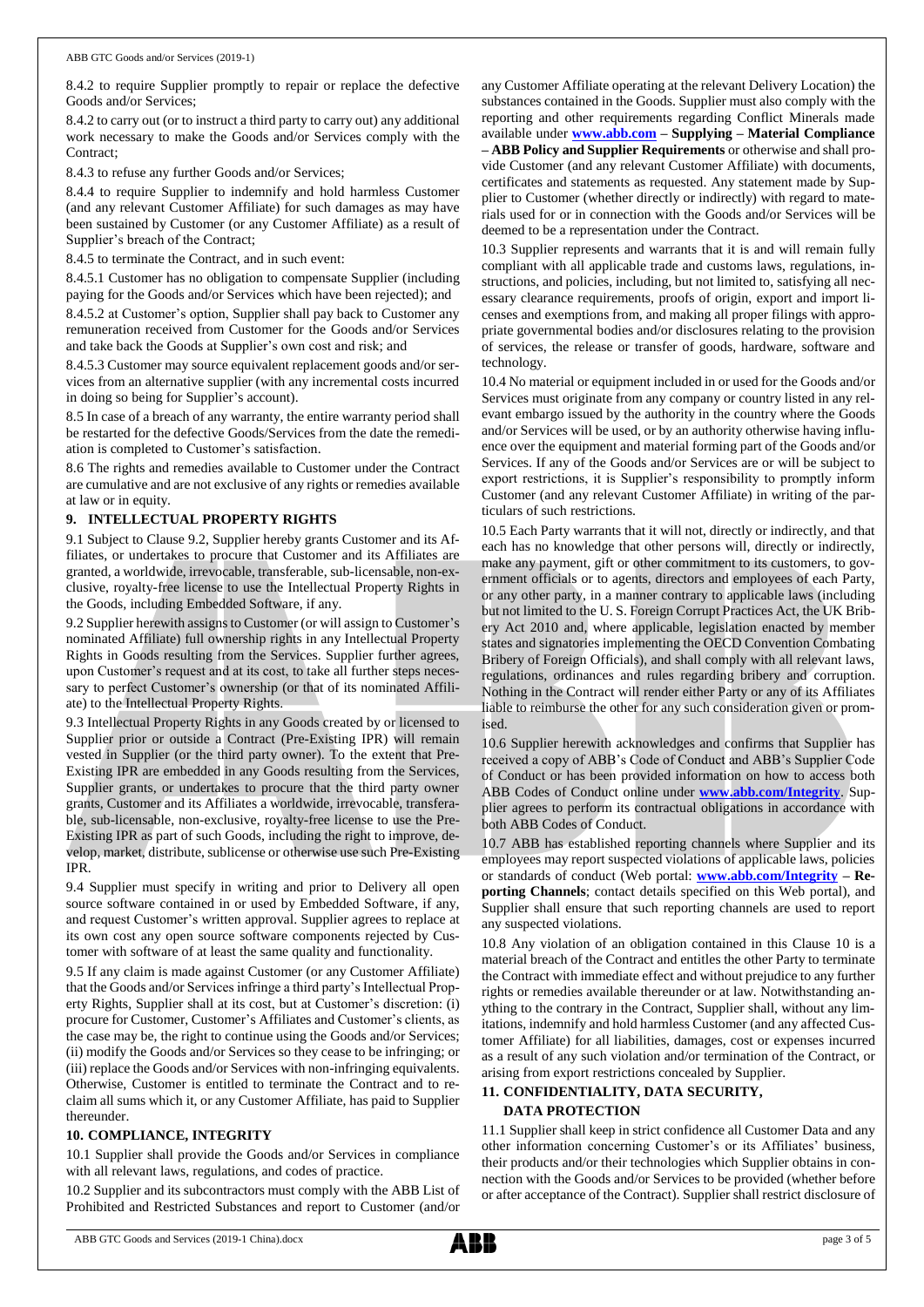8.4.2 to require Supplier promptly to repair or replace the defective Goods and/or Services;

8.4.2 to carry out (or to instruct a third party to carry out) any additional work necessary to make the Goods and/or Services comply with the Contract;

8.4.3 to refuse any further Goods and/or Services;

8.4.4 to require Supplier to indemnify and hold harmless Customer (and any relevant Customer Affiliate) for such damages as may have been sustained by Customer (or any Customer Affiliate) as a result of Supplier's breach of the Contract;

8.4.5 to terminate the Contract, and in such event:

8.4.5.1 Customer has no obligation to compensate Supplier (including paying for the Goods and/or Services which have been rejected); and

8.4.5.2 at Customer's option, Supplier shall pay back to Customer any remuneration received from Customer for the Goods and/or Services and take back the Goods at Supplier's own cost and risk; and

8.4.5.3 Customer may source equivalent replacement goods and/or services from an alternative supplier (with any incremental costs incurred in doing so being for Supplier's account).

8.5 In case of a breach of any warranty, the entire warranty period shall be restarted for the defective Goods/Services from the date the remediation is completed to Customer's satisfaction.

8.6 The rights and remedies available to Customer under the Contract are cumulative and are not exclusive of any rights or remedies available at law or in equity.

## **9. INTELLECTUAL PROPERTY RIGHTS**

9.1 Subject to Clause 9.2, Supplier hereby grants Customer and its Affiliates, or undertakes to procure that Customer and its Affiliates are granted, a worldwide, irrevocable, transferable, sub-licensable, non-exclusive, royalty-free license to use the Intellectual Property Rights in the Goods, including Embedded Software, if any.

9.2 Supplier herewith assigns to Customer (or will assign to Customer's nominated Affiliate) full ownership rights in any Intellectual Property Rights in Goods resulting from the Services. Supplier further agrees, upon Customer's request and at its cost, to take all further steps necessary to perfect Customer's ownership (or that of its nominated Affiliate) to the Intellectual Property Rights.

9.3 Intellectual Property Rights in any Goods created by or licensed to Supplier prior or outside a Contract (Pre-Existing IPR) will remain vested in Supplier (or the third party owner). To the extent that Pre-Existing IPR are embedded in any Goods resulting from the Services, Supplier grants, or undertakes to procure that the third party owner grants, Customer and its Affiliates a worldwide, irrevocable, transferable, sub-licensable, non-exclusive, royalty-free license to use the Pre-Existing IPR as part of such Goods, including the right to improve, develop, market, distribute, sublicense or otherwise use such Pre-Existing IPR.

9.4 Supplier must specify in writing and prior to Delivery all open source software contained in or used by Embedded Software, if any, and request Customer's written approval. Supplier agrees to replace at its own cost any open source software components rejected by Customer with software of at least the same quality and functionality.

9.5 If any claim is made against Customer (or any Customer Affiliate) that the Goods and/or Services infringe a third party's Intellectual Property Rights, Supplier shall at its cost, but at Customer's discretion: (i) procure for Customer, Customer's Affiliates and Customer's clients, as the case may be, the right to continue using the Goods and/or Services; (ii) modify the Goods and/or Services so they cease to be infringing; or (iii) replace the Goods and/or Services with non-infringing equivalents. Otherwise, Customer is entitled to terminate the Contract and to reclaim all sums which it, or any Customer Affiliate, has paid to Supplier thereunder.

## **10. COMPLIANCE, INTEGRITY**

10.1 Supplier shall provide the Goods and/or Services in compliance with all relevant laws, regulations, and codes of practice.

10.2 Supplier and its subcontractors must comply with the ABB List of Prohibited and Restricted Substances and report to Customer (and/or any Customer Affiliate operating at the relevant Delivery Location) the substances contained in the Goods. Supplier must also comply with the reporting and other requirements regarding Conflict Minerals made available under **[www.abb.com](http://www.abb.com/) – Supplying – Material Compliance – ABB Policy and Supplier Requirements** or otherwise and shall provide Customer (and any relevant Customer Affiliate) with documents, certificates and statements as requested. Any statement made by Supplier to Customer (whether directly or indirectly) with regard to materials used for or in connection with the Goods and/or Services will be deemed to be a representation under the Contract.

10.3 Supplier represents and warrants that it is and will remain fully compliant with all applicable trade and customs laws, regulations, instructions, and policies, including, but not limited to, satisfying all necessary clearance requirements, proofs of origin, export and import licenses and exemptions from, and making all proper filings with appropriate governmental bodies and/or disclosures relating to the provision of services, the release or transfer of goods, hardware, software and technology.

10.4 No material or equipment included in or used for the Goods and/or Services must originate from any company or country listed in any relevant embargo issued by the authority in the country where the Goods and/or Services will be used, or by an authority otherwise having influence over the equipment and material forming part of the Goods and/or Services. If any of the Goods and/or Services are or will be subject to export restrictions, it is Supplier's responsibility to promptly inform Customer (and any relevant Customer Affiliate) in writing of the particulars of such restrictions.

10.5 Each Party warrants that it will not, directly or indirectly, and that each has no knowledge that other persons will, directly or indirectly, make any payment, gift or other commitment to its customers, to government officials or to agents, directors and employees of each Party, or any other party, in a manner contrary to applicable laws (including but not limited to the U. S. Foreign Corrupt Practices Act, the UK Bribery Act 2010 and, where applicable, legislation enacted by member states and signatories implementing the OECD Convention Combating Bribery of Foreign Officials), and shall comply with all relevant laws, regulations, ordinances and rules regarding bribery and corruption. Nothing in the Contract will render either Party or any of its Affiliates liable to reimburse the other for any such consideration given or promised.

10.6 Supplier herewith acknowledges and confirms that Supplier has received a copy of ABB's Code of Conduct and ABB's Supplier Code of Conduct or has been provided information on how to access both ABB Codes of Conduct online under **[www.abb.com/Integrity](http://www.abb.com/Integrity)**. Supplier agrees to perform its contractual obligations in accordance with both ABB Codes of Conduct.

10.7 ABB has established reporting channels where Supplier and its employees may report suspected violations of applicable laws, policies or standards of conduct (Web portal: **[www.abb.com/Integrity](http://www.abb.com/Integrity) – Reporting Channels**; contact details specified on this Web portal), and Supplier shall ensure that such reporting channels are used to report any suspected violations.

10.8 Any violation of an obligation contained in this Clause 10 is a material breach of the Contract and entitles the other Party to terminate the Contract with immediate effect and without prejudice to any further rights or remedies available thereunder or at law. Notwithstanding anything to the contrary in the Contract, Supplier shall, without any limitations, indemnify and hold harmless Customer (and any affected Customer Affiliate) for all liabilities, damages, cost or expenses incurred as a result of any such violation and/or termination of the Contract, or arising from export restrictions concealed by Supplier.

## **11. CONFIDENTIALITY, DATA SECURITY, DATA PROTECTION**

11.1 Supplier shall keep in strict confidence all Customer Data and any other information concerning Customer's or its Affiliates' business, their products and/or their technologies which Supplier obtains in connection with the Goods and/or Services to be provided (whether before or after acceptance of the Contract). Supplier shall restrict disclosure of

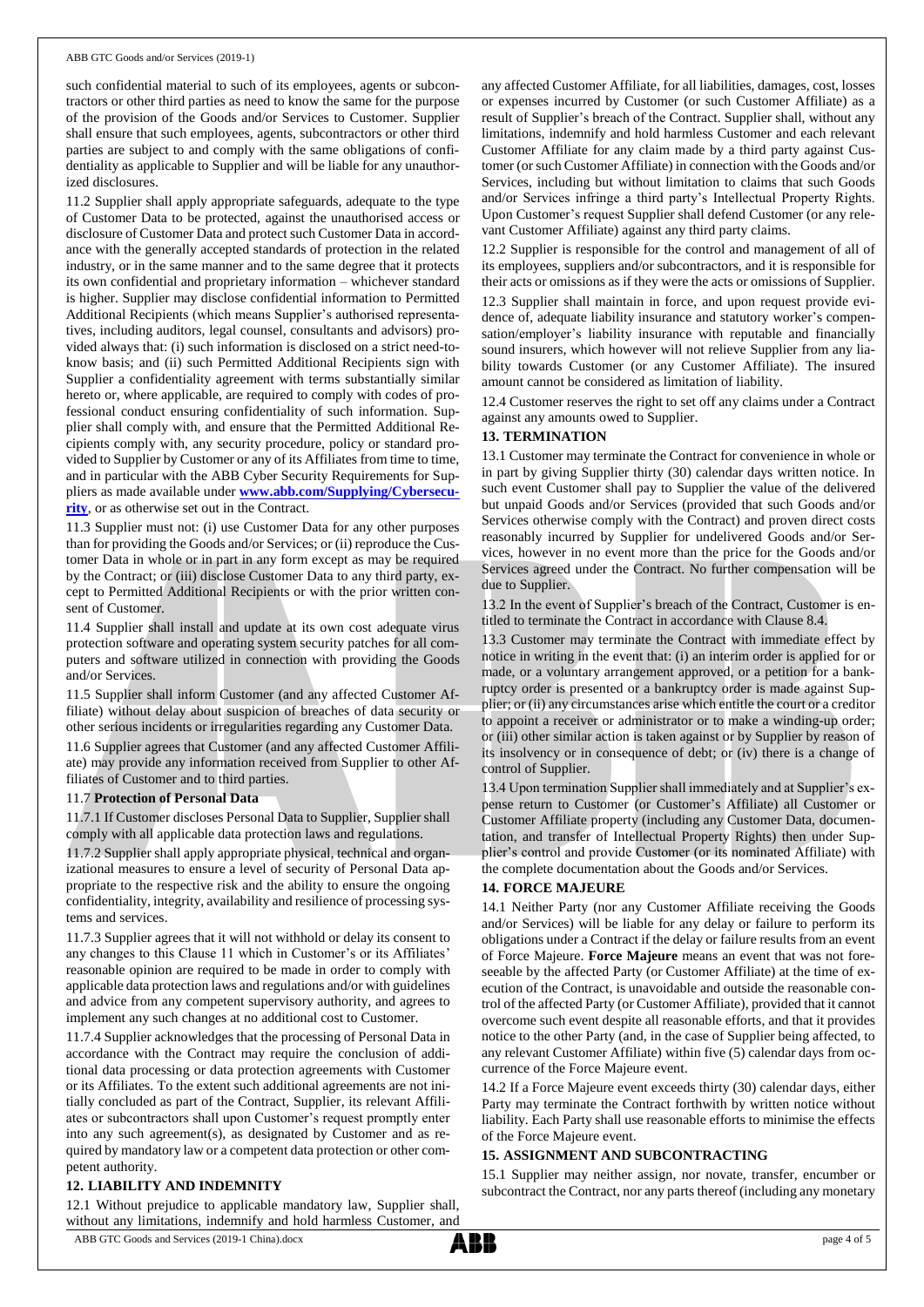#### ABB GTC Goods and/or Services (2019-1)

such confidential material to such of its employees, agents or subcontractors or other third parties as need to know the same for the purpose of the provision of the Goods and/or Services to Customer. Supplier shall ensure that such employees, agents, subcontractors or other third parties are subject to and comply with the same obligations of confidentiality as applicable to Supplier and will be liable for any unauthorized disclosures.

11.2 Supplier shall apply appropriate safeguards, adequate to the type of Customer Data to be protected, against the unauthorised access or disclosure of Customer Data and protect such Customer Data in accordance with the generally accepted standards of protection in the related industry, or in the same manner and to the same degree that it protects its own confidential and proprietary information – whichever standard is higher. Supplier may disclose confidential information to Permitted Additional Recipients (which means Supplier's authorised representatives, including auditors, legal counsel, consultants and advisors) provided always that: (i) such information is disclosed on a strict need-toknow basis; and (ii) such Permitted Additional Recipients sign with Supplier a confidentiality agreement with terms substantially similar hereto or, where applicable, are required to comply with codes of professional conduct ensuring confidentiality of such information. Supplier shall comply with, and ensure that the Permitted Additional Recipients comply with, any security procedure, policy or standard provided to Supplier by Customer or any of its Affiliates from time to time, and in particular with the ABB Cyber Security Requirements for Suppliers as made available under **[www.abb.com/Supplying/Cybersecu](http://www.abb.com/Supplying/Cybersecurity)[rity](http://www.abb.com/Supplying/Cybersecurity)**, or as otherwise set out in the Contract.

11.3 Supplier must not: (i) use Customer Data for any other purposes than for providing the Goods and/or Services; or (ii) reproduce the Customer Data in whole or in part in any form except as may be required by the Contract; or (iii) disclose Customer Data to any third party, except to Permitted Additional Recipients or with the prior written consent of Customer.

11.4 Supplier shall install and update at its own cost adequate virus protection software and operating system security patches for all computers and software utilized in connection with providing the Goods and/or Services.

11.5 Supplier shall inform Customer (and any affected Customer Affiliate) without delay about suspicion of breaches of data security or other serious incidents or irregularities regarding any Customer Data.

11.6 Supplier agrees that Customer (and any affected Customer Affiliate) may provide any information received from Supplier to other Affiliates of Customer and to third parties.

#### 11.7 **Protection of Personal Data**

11.7.1 If Customer discloses Personal Data to Supplier, Supplier shall comply with all applicable data protection laws and regulations.

11.7.2 Supplier shall apply appropriate physical, technical and organizational measures to ensure a level of security of Personal Data appropriate to the respective risk and the ability to ensure the ongoing confidentiality, integrity, availability and resilience of processing systems and services.

11.7.3 Supplier agrees that it will not withhold or delay its consent to any changes to this Clause 11 which in Customer's or its Affiliates' reasonable opinion are required to be made in order to comply with applicable data protection laws and regulations and/or with guidelines and advice from any competent supervisory authority, and agrees to implement any such changes at no additional cost to Customer.

11.7.4 Supplier acknowledges that the processing of Personal Data in accordance with the Contract may require the conclusion of additional data processing or data protection agreements with Customer or its Affiliates. To the extent such additional agreements are not initially concluded as part of the Contract, Supplier, its relevant Affiliates or subcontractors shall upon Customer's request promptly enter into any such agreement(s), as designated by Customer and as required by mandatory law or a competent data protection or other competent authority.

# **12. LIABILITY AND INDEMNITY**

12.1 Without prejudice to applicable mandatory law, Supplier shall, without any limitations, indemnify and hold harmless Customer, and

any affected Customer Affiliate, for all liabilities, damages, cost, losses or expenses incurred by Customer (or such Customer Affiliate) as a result of Supplier's breach of the Contract. Supplier shall, without any limitations, indemnify and hold harmless Customer and each relevant Customer Affiliate for any claim made by a third party against Customer (or such Customer Affiliate) in connection with the Goods and/or Services, including but without limitation to claims that such Goods and/or Services infringe a third party's Intellectual Property Rights. Upon Customer's request Supplier shall defend Customer (or any relevant Customer Affiliate) against any third party claims.

12.2 Supplier is responsible for the control and management of all of its employees, suppliers and/or subcontractors, and it is responsible for their acts or omissions as if they were the acts or omissions of Supplier.

12.3 Supplier shall maintain in force, and upon request provide evidence of, adequate liability insurance and statutory worker's compensation/employer's liability insurance with reputable and financially sound insurers, which however will not relieve Supplier from any liability towards Customer (or any Customer Affiliate). The insured amount cannot be considered as limitation of liability.

12.4 Customer reserves the right to set off any claims under a Contract against any amounts owed to Supplier.

## **13. TERMINATION**

13.1 Customer may terminate the Contract for convenience in whole or in part by giving Supplier thirty (30) calendar days written notice. In such event Customer shall pay to Supplier the value of the delivered but unpaid Goods and/or Services (provided that such Goods and/or Services otherwise comply with the Contract) and proven direct costs reasonably incurred by Supplier for undelivered Goods and/or Services, however in no event more than the price for the Goods and/or Services agreed under the Contract. No further compensation will be due to Supplier.

13.2 In the event of Supplier's breach of the Contract, Customer is entitled to terminate the Contract in accordance with Clause 8.4.

13.3 Customer may terminate the Contract with immediate effect by notice in writing in the event that: (i) an interim order is applied for or made, or a voluntary arrangement approved, or a petition for a bankruptcy order is presented or a bankruptcy order is made against Supplier; or (ii) any circumstances arise which entitle the court or a creditor to appoint a receiver or administrator or to make a winding-up order; or (iii) other similar action is taken against or by Supplier by reason of its insolvency or in consequence of debt; or (iv) there is a change of control of Supplier.

13.4 Upon termination Supplier shall immediately and at Supplier's expense return to Customer (or Customer's Affiliate) all Customer or Customer Affiliate property (including any Customer Data, documentation, and transfer of Intellectual Property Rights) then under Supplier's control and provide Customer (or its nominated Affiliate) with the complete documentation about the Goods and/or Services.

#### **14. FORCE MAJEURE**

14.1 Neither Party (nor any Customer Affiliate receiving the Goods and/or Services) will be liable for any delay or failure to perform its obligations under a Contract if the delay or failure results from an event of Force Majeure. **Force Majeure** means an event that was not foreseeable by the affected Party (or Customer Affiliate) at the time of execution of the Contract, is unavoidable and outside the reasonable control of the affected Party (or Customer Affiliate), provided that it cannot overcome such event despite all reasonable efforts, and that it provides notice to the other Party (and, in the case of Supplier being affected, to any relevant Customer Affiliate) within five (5) calendar days from occurrence of the Force Majeure event.

14.2 If a Force Majeure event exceeds thirty (30) calendar days, either Party may terminate the Contract forthwith by written notice without liability. Each Party shall use reasonable efforts to minimise the effects of the Force Majeure event.

# **15. ASSIGNMENT AND SUBCONTRACTING**

15.1 Supplier may neither assign, nor novate, transfer, encumber or subcontract the Contract, nor any parts thereof (including any monetary